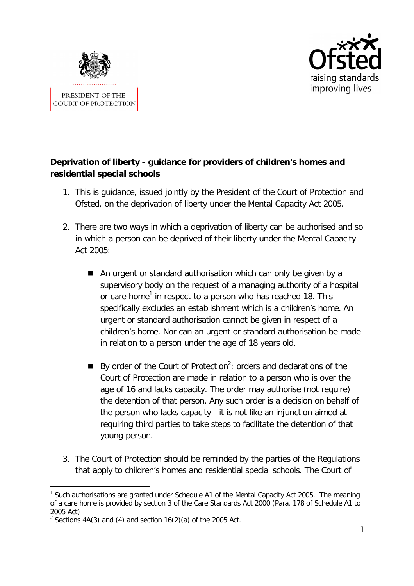



# **Deprivation of liberty - guidance for providers of children's homes and residential special schools**

- 1. This is guidance, issued jointly by the President of the Court of Protection and Ofsted, on the deprivation of liberty under the Mental Capacity Act 2005.
- 2. There are two ways in which a deprivation of liberty can be authorised and so in which a person can be deprived of their liberty under the Mental Capacity Act 2005:
	- An urgent or standard authorisation which can only be given by a supervisory body on the request of a managing authority of a hospital or care home<sup>1</sup> in respect to a person who has reached 18. This specifically excludes an establishment which is a children's home. An urgent or standard authorisation cannot be given in respect of a children's home. Nor can an urgent or standard authorisation be made in relation to a person under the age of 18 years old.
	- By order of the Court of Protection<sup>2</sup>: orders and declarations of the Court of Protection are made in relation to a person who is over the age of 16 and lacks capacity. The order may authorise (not require) the detention of that person. Any such order is a decision on behalf of the person who lacks capacity - it is not like an injunction aimed at requiring third parties to take steps to facilitate the detention of that young person.
- 3. The Court of Protection should be reminded by the parties of the Regulations that apply to children's homes and residential special schools. The Court of

 $\overline{a}$ <sup>1</sup> Such authorisations are granted under Schedule A1 of the Mental Capacity Act 2005. The meaning of a care home is provided by section 3 of the Care Standards Act 2000 (Para. 178 of Schedule A1 to 2005 Act)

<sup>&</sup>lt;sup>2</sup> Sections 4A(3) and (4) and section  $16(2)(a)$  of the 2005 Act.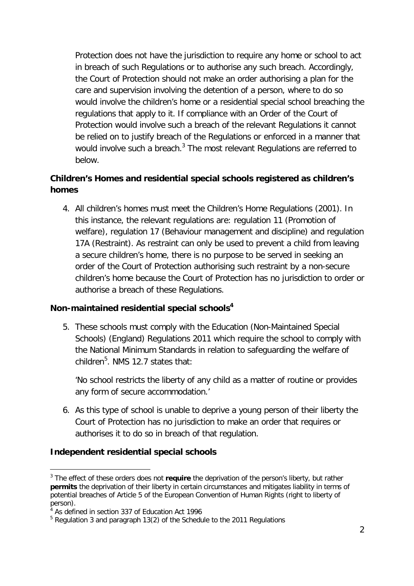Protection does not have the jurisdiction to require any home or school to act in breach of such Regulations or to authorise any such breach. Accordingly, the Court of Protection should not make an order authorising a plan for the care and supervision involving the detention of a person, where to do so would involve the children's home or a residential special school breaching the regulations that apply to it. If compliance with an Order of the Court of Protection would involve such a breach of the relevant Regulations it cannot be relied on to justify breach of the Regulations or enforced in a manner that would involve such a breach. $^3$  The most relevant Regulations are referred to below.

## **Children's Homes and residential special schools registered as children's homes**

4. All children's homes must meet the Children's Home Regulations (2001). In this instance, the relevant regulations are: regulation 11 (Promotion of welfare), regulation 17 (Behaviour management and discipline) and regulation 17A (Restraint). As restraint can only be used to prevent a child from leaving a secure children's home, there is no purpose to be served in seeking an order of the Court of Protection authorising such restraint by a non-secure children's home because the Court of Protection has no jurisdiction to order or authorise a breach of these Regulations.

#### **Non-maintained residential special schools<sup>4</sup>**

5. These schools must comply with the Education (Non-Maintained Special Schools) (England) Regulations 2011 which require the school to comply with the National Minimum Standards in relation to safeguarding the welfare of children<sup>5</sup>. NMS 12.7 states that:

*'No school restricts the liberty of any child as a matter of routine or provides any form of secure accommodation.'*

6. As this type of school is unable to deprive a young person of their liberty the Court of Protection has no jurisdiction to make an order that requires or authorises it to do so in breach of that regulation.

#### **Independent residential special schools**

l <sup>3</sup> The effect of these orders does not require the deprivation of the person's liberty, but rather **permits** the deprivation of their liberty in certain circumstances and mitigates liability in terms of potential breaches of Article 5 of the European Convention of Human Rights (right to liberty of person).

<sup>&</sup>lt;sup>4</sup> As defined in section 337 of Education Act 1996

<sup>&</sup>lt;sup>5</sup> Regulation 3 and paragraph 13(2) of the Schedule to the 2011 Regulations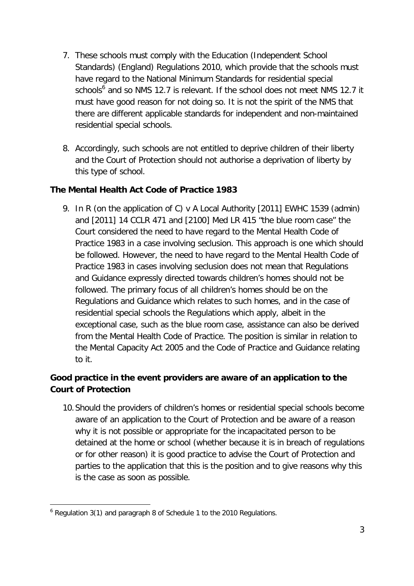- 7. These schools must comply with the Education (Independent School Standards) (England) Regulations 2010, which provide that the schools must have regard to the National Minimum Standards for residential special schools<sup>6</sup> and so NMS 12.7 is relevant. If the school does not meet NMS 12.7 it must have good reason for not doing so. It is not the spirit of the NMS that there are different applicable standards for independent and non-maintained residential special schools.
- 8. Accordingly, such schools are not entitled to deprive children of their liberty and the Court of Protection should not authorise a deprivation of liberty by this type of school.

### **The Mental Health Act Code of Practice 1983**

9. In *R (on the application of C) v A Local Authority [2011] EWHC 1539 (admin) and [2011] 14 CCLR 471 and [2100] Med LR 415 "*the blue room case" the Court considered the need to have regard to the Mental Health Code of Practice 1983 in a case involving seclusion. This approach is one which should be followed. However, the need to have regard to the Mental Health Code of Practice 1983 in cases involving seclusion does not mean that Regulations and Guidance expressly directed towards children's homes should not be followed. The primary focus of all children's homes should be on the Regulations and Guidance which relates to such homes, and in the case of residential special schools the Regulations which apply, albeit in the exceptional case, such as the blue room case, assistance can also be derived from the Mental Health Code of Practice. The position is similar in relation to the Mental Capacity Act 2005 and the Code of Practice and Guidance relating to it.

## **Good practice in the event providers are aware of an application to the Court of Protection**

10.Should the providers of children's homes or residential special schools become aware of an application to the Court of Protection and be aware of a reason why it is not possible or appropriate for the incapacitated person to be detained at the home or school (whether because it is in breach of regulations or for other reason) it is good practice to advise the Court of Protection and parties to the application that this is the position and to give reasons why this is the case as soon as possible.

 $\overline{a}$  $6$  Regulation 3(1) and paragraph 8 of Schedule 1 to the 2010 Regulations.